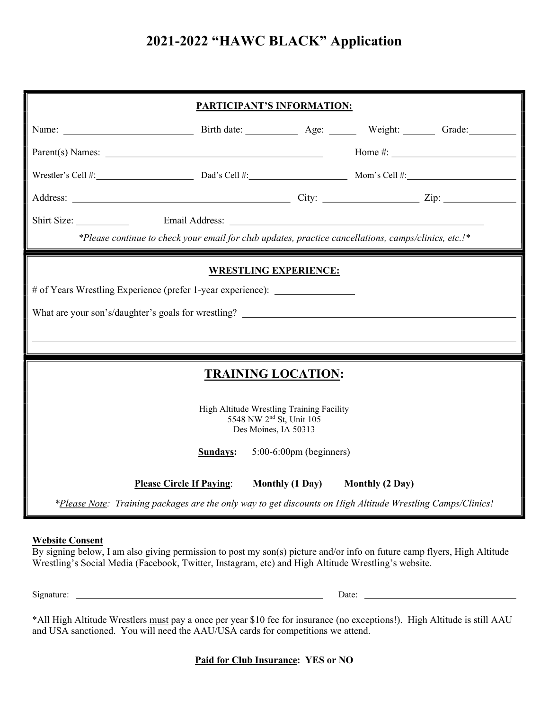# 2021-2022 "HAWC BLACK" Application

| <b>PARTICIPANT'S INFORMATION:</b>                                                                                |          |                  |                                                                                                              |  |  |
|------------------------------------------------------------------------------------------------------------------|----------|------------------|--------------------------------------------------------------------------------------------------------------|--|--|
|                                                                                                                  |          |                  |                                                                                                              |  |  |
|                                                                                                                  |          |                  | Home #: $\_$                                                                                                 |  |  |
|                                                                                                                  |          |                  |                                                                                                              |  |  |
|                                                                                                                  |          |                  |                                                                                                              |  |  |
|                                                                                                                  |          |                  |                                                                                                              |  |  |
| *Please continue to check your email for club updates, practice cancellations, camps/clinics, etc.!*             |          |                  |                                                                                                              |  |  |
| <b>WRESTLING EXPERIENCE:</b><br># of Years Wrestling Experience (prefer 1-year experience): ____________________ |          |                  |                                                                                                              |  |  |
| <b>TRAINING LOCATION:</b>                                                                                        |          |                  |                                                                                                              |  |  |
| High Altitude Wrestling Training Facility<br>5548 NW 2 <sup>nd</sup> St, Unit 105<br>Des Moines, IA 50313        |          |                  |                                                                                                              |  |  |
|                                                                                                                  |          |                  |                                                                                                              |  |  |
| Please Circle If Paying: Monthly (1 Day) Monthly (2 Day)                                                         |          |                  |                                                                                                              |  |  |
|                                                                                                                  | Sundays: | Parent(s) Names: | Wrestler's Cell #: $\qquad \qquad$ Dad's Cell #: $\qquad \qquad$ Mom's Cell #:<br>$5:00-6:00$ pm (beginners) |  |  |

#### Website Consent

By signing below, I am also giving permission to post my son(s) picture and/or info on future camp flyers, High Altitude Wrestling's Social Media (Facebook, Twitter, Instagram, etc) and High Altitude Wrestling's website.

Signature: Date:

\*All High Altitude Wrestlers must pay a once per year \$10 fee for insurance (no exceptions!). High Altitude is still AAU and USA sanctioned. You will need the AAU/USA cards for competitions we attend.

Paid for Club Insurance: YES or NO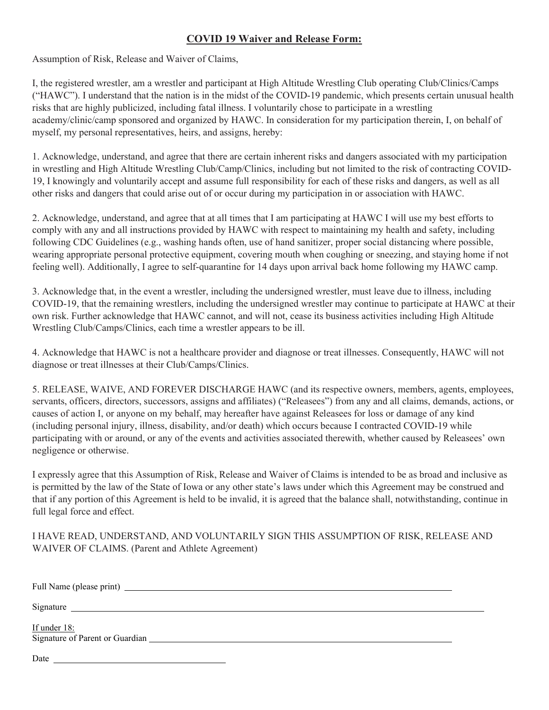### COVID 19 Waiver and Release Form:

Assumption of Risk, Release and Waiver of Claims,

I, the registered wrestler, am a wrestler and participant at High Altitude Wrestling Club operating Club/Clinics/Camps ("HAWC"). I understand that the nation is in the midst of the COVID-19 pandemic, which presents certain unusual health risks that are highly publicized, including fatal illness. I voluntarily chose to participate in a wrestling academy/clinic/camp sponsored and organized by HAWC. In consideration for my participation therein, I, on behalf of myself, my personal representatives, heirs, and assigns, hereby:

1. Acknowledge, understand, and agree that there are certain inherent risks and dangers associated with my participation in wrestling and High Altitude Wrestling Club/Camp/Clinics, including but not limited to the risk of contracting COVID-19, I knowingly and voluntarily accept and assume full responsibility for each of these risks and dangers, as well as all other risks and dangers that could arise out of or occur during my participation in or association with HAWC.

2. Acknowledge, understand, and agree that at all times that I am participating at HAWC I will use my best efforts to comply with any and all instructions provided by HAWC with respect to maintaining my health and safety, including following CDC Guidelines (e.g., washing hands often, use of hand sanitizer, proper social distancing where possible, wearing appropriate personal protective equipment, covering mouth when coughing or sneezing, and staying home if not feeling well). Additionally, I agree to self-quarantine for 14 days upon arrival back home following my HAWC camp.

3. Acknowledge that, in the event a wrestler, including the undersigned wrestler, must leave due to illness, including COVID-19, that the remaining wrestlers, including the undersigned wrestler may continue to participate at HAWC at their own risk. Further acknowledge that HAWC cannot, and will not, cease its business activities including High Altitude Wrestling Club/Camps/Clinics, each time a wrestler appears to be ill.

4. Acknowledge that HAWC is not a healthcare provider and diagnose or treat illnesses. Consequently, HAWC will not diagnose or treat illnesses at their Club/Camps/Clinics.

5. RELEASE, WAIVE, AND FOREVER DISCHARGE HAWC (and its respective owners, members, agents, employees, servants, officers, directors, successors, assigns and affiliates) ("Releasees") from any and all claims, demands, actions, or causes of action I, or anyone on my behalf, may hereafter have against Releasees for loss or damage of any kind (including personal injury, illness, disability, and/or death) which occurs because I contracted COVID-19 while participating with or around, or any of the events and activities associated therewith, whether caused by Releasees' own negligence or otherwise.

I expressly agree that this Assumption of Risk, Release and Waiver of Claims is intended to be as broad and inclusive as is permitted by the law of the State of Iowa or any other state's laws under which this Agreement may be construed and that if any portion of this Agreement is held to be invalid, it is agreed that the balance shall, notwithstanding, continue in full legal force and effect.

I HAVE READ, UNDERSTAND, AND VOLUNTARILY SIGN THIS ASSUMPTION OF RISK, RELEASE AND WAIVER OF CLAIMS. (Parent and Athlete Agreement)

| Signature    |  |
|--------------|--|
| If under 18: |  |
| Date         |  |